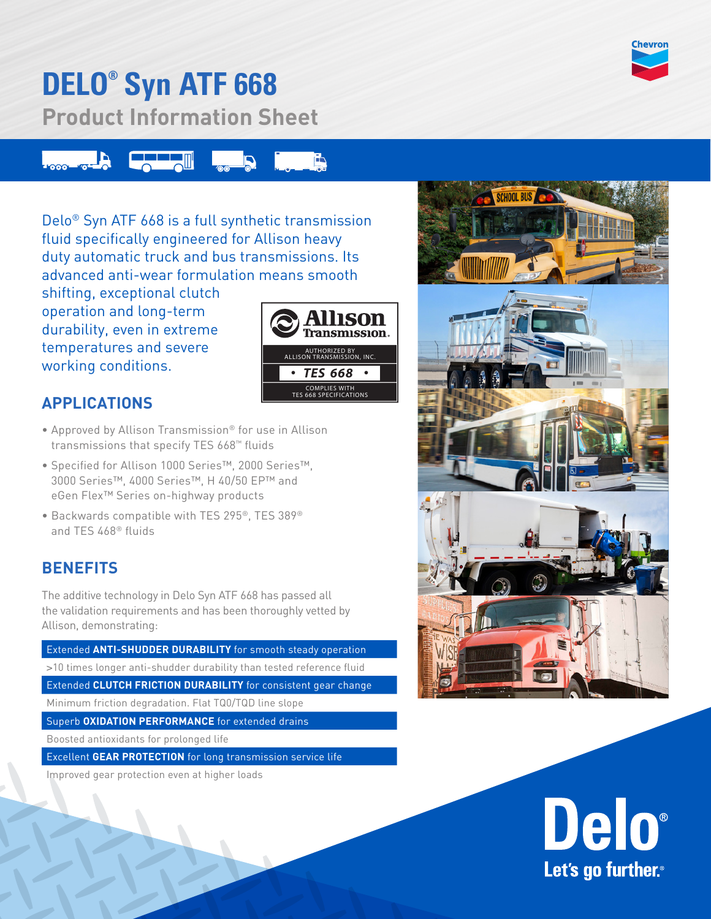

## **DELO® Syn ATF 668**

**Product Information Sheet**



Delo® Syn ATF 668 is a full synthetic transmission fluid specifically engineered for Allison heavy duty automatic truck and bus transmissions. Its advanced anti-wear formulation means smooth

shifting, exceptional clutch operation and long-term durability, even in extreme temperatures and severe working conditions.



### **APPLICATIONS**

- Approved by Allison Transmission® for use in Allison transmissions that specify TES 668™ fluids
- Specified for Allison 1000 Series™, 2000 Series™, 3000 Series™, 4000 Series™, H 40/50 EP™ and eGen Flex™ Series on-highway products
- Backwards compatible with TES 295®, TES 389® and TES 468® fluids

### **BENEFITS**

The additive technology in Delo Syn ATF 668 has passed all the validation requirements and has been thoroughly vetted by Allison, demonstrating:

Extended **ANTI-SHUDDER DURABILITY** for smooth steady operation >10 times longer anti-shudder durability than tested reference fluid Extended **CLUTCH FRICTION DURABILITY** for consistent gear change Minimum friction degradation. Flat TQ0/TQD line slope Superb **OXIDATION PERFORMANCE** for extended drains

Boosted antioxidants for prolonged life

Excellent **GEAR PROTECTION** for long transmission service life

Improved gear protection even at higher loads



# Delo® Let's go further.<sup>®</sup>